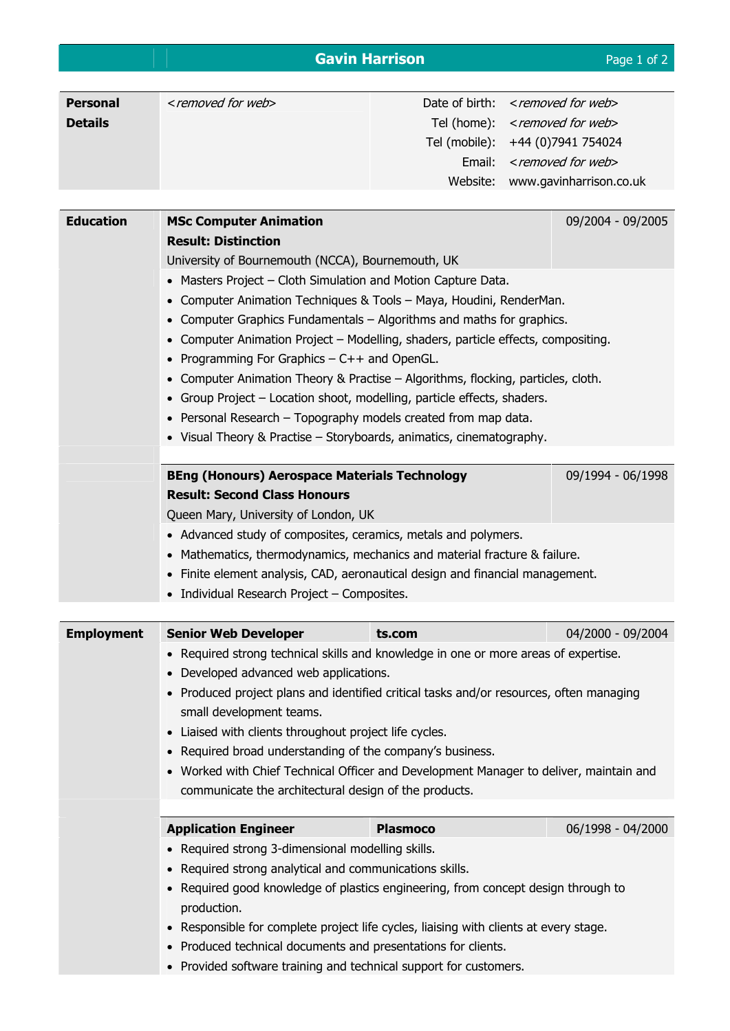## **Gavin Harrison Caving Harrison Page 1 of 2**

| <b>Personal</b>   | <removed for="" th="" web<=""><th>Date of birth:</th><th><removed for="" th="" web<=""></removed></th></removed>                              | Date of birth:                                                        | <removed for="" th="" web<=""></removed> |  |  |
|-------------------|-----------------------------------------------------------------------------------------------------------------------------------------------|-----------------------------------------------------------------------|------------------------------------------|--|--|
| <b>Details</b>    |                                                                                                                                               | Tel (home):                                                           | <removed for="" web=""></removed>        |  |  |
|                   |                                                                                                                                               | Tel (mobile):                                                         | +44 (0) 7941 754024                      |  |  |
|                   |                                                                                                                                               | Email:                                                                | <removed for="" web=""></removed>        |  |  |
|                   |                                                                                                                                               | Website:                                                              | www.gavinharrison.co.uk                  |  |  |
|                   |                                                                                                                                               |                                                                       |                                          |  |  |
| <b>Education</b>  | <b>MSc Computer Animation</b>                                                                                                                 |                                                                       | 09/2004 - 09/2005                        |  |  |
|                   | <b>Result: Distinction</b>                                                                                                                    |                                                                       |                                          |  |  |
|                   | University of Bournemouth (NCCA), Bournemouth, UK                                                                                             |                                                                       |                                          |  |  |
|                   | Masters Project - Cloth Simulation and Motion Capture Data.                                                                                   |                                                                       |                                          |  |  |
|                   | Computer Animation Techniques & Tools - Maya, Houdini, RenderMan.                                                                             |                                                                       |                                          |  |  |
|                   | Computer Graphics Fundamentals - Algorithms and maths for graphics.                                                                           |                                                                       |                                          |  |  |
|                   | Computer Animation Project - Modelling, shaders, particle effects, compositing.                                                               |                                                                       |                                          |  |  |
|                   | Programming For Graphics - C++ and OpenGL.                                                                                                    |                                                                       |                                          |  |  |
|                   | Computer Animation Theory & Practise - Algorithms, flocking, particles, cloth.                                                                |                                                                       |                                          |  |  |
|                   |                                                                                                                                               | Group Project - Location shoot, modelling, particle effects, shaders. |                                          |  |  |
|                   | Personal Research - Topography models created from map data.                                                                                  |                                                                       |                                          |  |  |
|                   | • Visual Theory & Practise - Storyboards, animatics, cinematography.                                                                          |                                                                       |                                          |  |  |
|                   |                                                                                                                                               |                                                                       |                                          |  |  |
|                   | <b>BEng (Honours) Aerospace Materials Technology</b>                                                                                          |                                                                       | 09/1994 - 06/1998                        |  |  |
|                   | <b>Result: Second Class Honours</b>                                                                                                           |                                                                       |                                          |  |  |
|                   |                                                                                                                                               |                                                                       |                                          |  |  |
|                   | Queen Mary, University of London, UK                                                                                                          |                                                                       |                                          |  |  |
|                   | • Advanced study of composites, ceramics, metals and polymers.<br>• Mathematics, thermodynamics, mechanics and material fracture & failure.   |                                                                       |                                          |  |  |
|                   |                                                                                                                                               |                                                                       |                                          |  |  |
|                   |                                                                                                                                               |                                                                       |                                          |  |  |
|                   | Finite element analysis, CAD, aeronautical design and financial management.                                                                   |                                                                       |                                          |  |  |
|                   | • Individual Research Project - Composites.                                                                                                   |                                                                       |                                          |  |  |
|                   |                                                                                                                                               |                                                                       |                                          |  |  |
| <b>Employment</b> | <b>Senior Web Developer</b>                                                                                                                   | ts.com                                                                | 04/2000 - 09/2004                        |  |  |
|                   | • Required strong technical skills and knowledge in one or more areas of expertise.                                                           |                                                                       |                                          |  |  |
|                   | • Developed advanced web applications.                                                                                                        |                                                                       |                                          |  |  |
|                   | • Produced project plans and identified critical tasks and/or resources, often managing                                                       |                                                                       |                                          |  |  |
|                   | small development teams.                                                                                                                      |                                                                       |                                          |  |  |
|                   | • Liaised with clients throughout project life cycles.                                                                                        |                                                                       |                                          |  |  |
|                   | Required broad understanding of the company's business.                                                                                       |                                                                       |                                          |  |  |
|                   | • Worked with Chief Technical Officer and Development Manager to deliver, maintain and                                                        |                                                                       |                                          |  |  |
|                   | communicate the architectural design of the products.                                                                                         |                                                                       |                                          |  |  |
|                   |                                                                                                                                               |                                                                       |                                          |  |  |
|                   | <b>Application Engineer</b>                                                                                                                   | <b>Plasmoco</b>                                                       | 06/1998 - 04/2000                        |  |  |
|                   | • Required strong 3-dimensional modelling skills.                                                                                             |                                                                       |                                          |  |  |
|                   | Required strong analytical and communications skills.                                                                                         |                                                                       |                                          |  |  |
|                   | Required good knowledge of plastics engineering, from concept design through to                                                               |                                                                       |                                          |  |  |
|                   | production.                                                                                                                                   |                                                                       |                                          |  |  |
|                   | Responsible for complete project life cycles, liaising with clients at every stage.<br>$\bullet$                                              |                                                                       |                                          |  |  |
|                   | Produced technical documents and presentations for clients.<br>$\bullet$<br>• Provided software training and technical support for customers. |                                                                       |                                          |  |  |